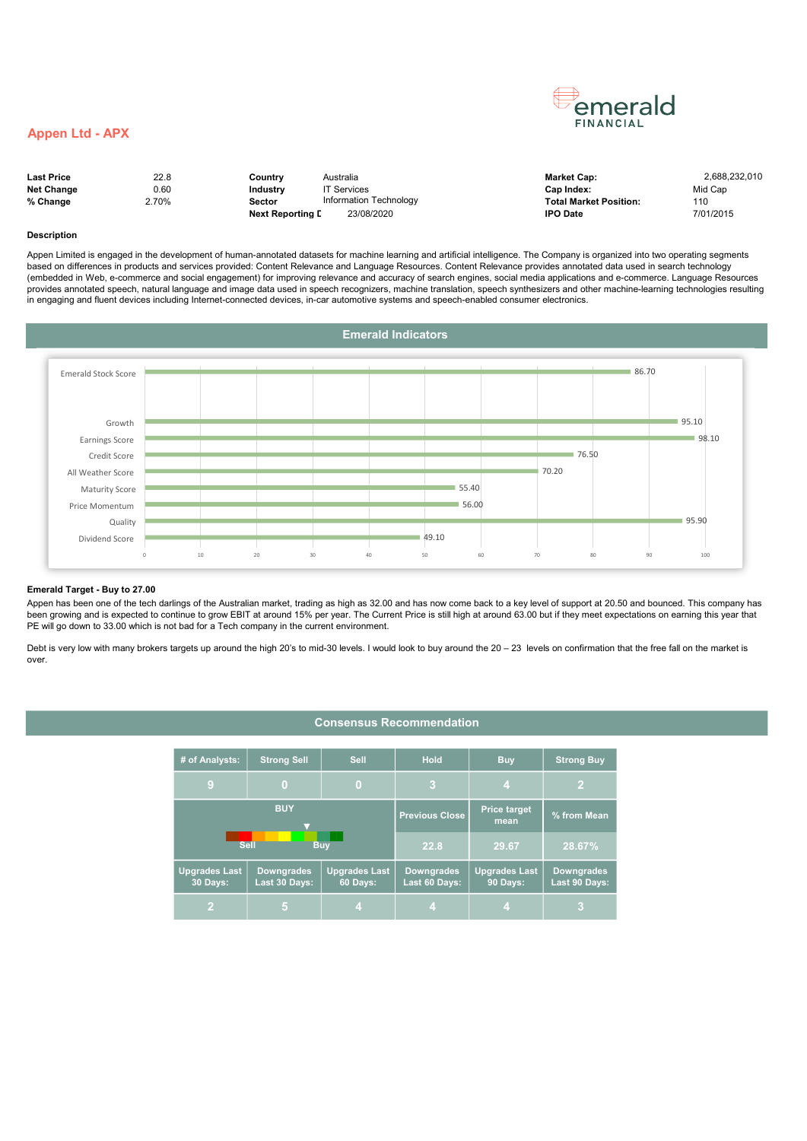### Appen Ltd - APX

| <b>Last Price</b> | 22.8  | Countrv                 | Australia               | <b>Market Cap:</b>            | 2.688.232.010 |
|-------------------|-------|-------------------------|-------------------------|-------------------------------|---------------|
| <b>Net Change</b> | 0.60  | Industry                | ' <sup>T</sup> Services | Cap Index:                    | Mid Cap       |
| % Change          | 2.70% | Sector                  | Information Technology  | <b>Total Market Position:</b> | 110           |
|                   |       | <b>Next Reporting D</b> | 23/08/2020              | <b>IPO Date</b>               | 7/01/2015     |

emerald **FINANCIAL** 

| larket Cap:           | 2,688,232,0 |
|-----------------------|-------------|
| ap Index:             | Mid Cap     |
| otal Market Position: | 110         |
| PO Date               | 7/01/2015   |

#### Description

Appen Limited is engaged in the development of human-annotated datasets for machine learning and artificial intelligence. The Company is organized into two operating segments based on differences in products and services provided: Content Relevance and Language Resources. Content Relevance provides annotated data used in search technology (embedded in Web, e-commerce and social engagement) for improving relevance and accuracy of search engines, social media applications and e-commerce. Language Resources provides annotated speech, natural language and image data used in speech recognizers, machine translation, speech synthesizers and other machine-learning technologies resulting in engaging and fluent devices including Internet-connected devices, in-car automotive systems and speech-enabled consumer electronics.



#### Emerald Target - Buy to 27.00

Appen has been one of the tech darlings of the Australian market, trading as high as 32.00 and has now come back to a key level of support at 20.50 and bounced. This company has been growing and is expected to continue to grow EBIT at around 15% per year. The Current Price is still high at around 63.00 but if they meet expectations on earning this year that PE will go down to 33.00 which is not bad for a Tech company in the current environment.

Debt is very low with many brokers targets up around the high 20's to mid-30 levels. I would look to buy around the 20 – 23 levels on confirmation that the free fall on the market is over.

## Consensus Recommendation

| # of Analysts:<br><b>Strong Sell</b>                                                                       |                      | <b>Sell</b> | <b>Hold</b>                        | <b>Buy</b>                       | <b>Strong Buy</b>                  |
|------------------------------------------------------------------------------------------------------------|----------------------|-------------|------------------------------------|----------------------------------|------------------------------------|
| 9                                                                                                          | $\bf{0}$<br>$\bf{0}$ |             | 3                                  | $\overline{4}$                   |                                    |
|                                                                                                            | <b>BUY</b>           |             | <b>Previous Close</b>              | <b>Price target</b><br>mean      | % from Mean                        |
|                                                                                                            | <b>Sell</b>          | <b>Buv</b>  | 22.8                               | 29.67                            | 28.67%                             |
| <b>Upgrades Last</b><br><b>Downgrades</b><br><b>Upgrades Last</b><br>Last 30 Days:<br>30 Days:<br>60 Days: |                      |             | <b>Downgrades</b><br>Last 60 Days: | <b>Upgrades Last</b><br>90 Days: | <b>Downgrades</b><br>Last 90 Days: |
| 4                                                                                                          |                      | л.          | 4                                  |                                  |                                    |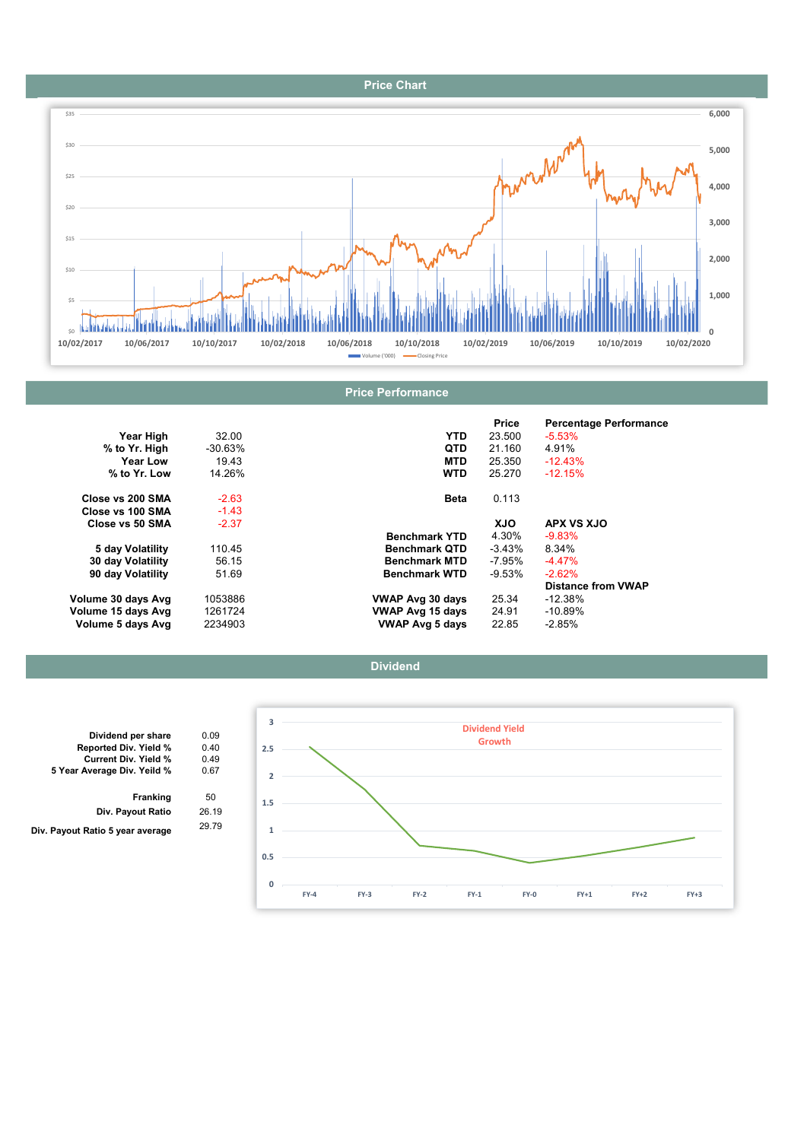## Price Chart



|                    |            |                         | Price      | <b>Percentage Performance</b> |
|--------------------|------------|-------------------------|------------|-------------------------------|
| Year High          | 32.00      | YTD.                    | 23.500     | $-5.53%$                      |
| % to Yr. High      | $-30.63\%$ | <b>QTD</b>              | 21.160     | 4.91%                         |
| Year Low           | 19.43      | <b>MTD</b>              | 25.350     | $-12.43%$                     |
| % to Yr. Low       | 14.26%     | <b>WTD</b>              | 25.270     | $-12.15%$                     |
| Close vs 200 SMA   | $-2.63$    | <b>Beta</b>             | 0.113      |                               |
| Close vs 100 SMA   | $-1.43$    |                         |            |                               |
| Close vs 50 SMA    | $-2.37$    |                         | <b>XJO</b> | APX VS XJO                    |
|                    |            | <b>Benchmark YTD</b>    | 4.30%      | $-9.83%$                      |
| 5 day Volatility   | 110.45     | <b>Benchmark QTD</b>    | $-3.43\%$  | 8.34%                         |
| 30 day Volatility  | 56.15      | <b>Benchmark MTD</b>    | -7.95%     | $-4.47%$                      |
| 90 day Volatility  | 51.69      | <b>Benchmark WTD</b>    | -9.53%     | $-2.62%$                      |
|                    |            |                         |            | <b>Distance from VWAP</b>     |
| Volume 30 days Avg | 1053886    | VWAP Avg 30 days        | 25.34      | $-12.38%$                     |
| Volume 15 days Avg | 1261724    | <b>VWAP Avg 15 days</b> | 24.91      | $-10.89%$                     |
| Volume 5 days Avg  | 2234903    | <b>VWAP Avg 5 days</b>  | 22.85      | -2.85%                        |





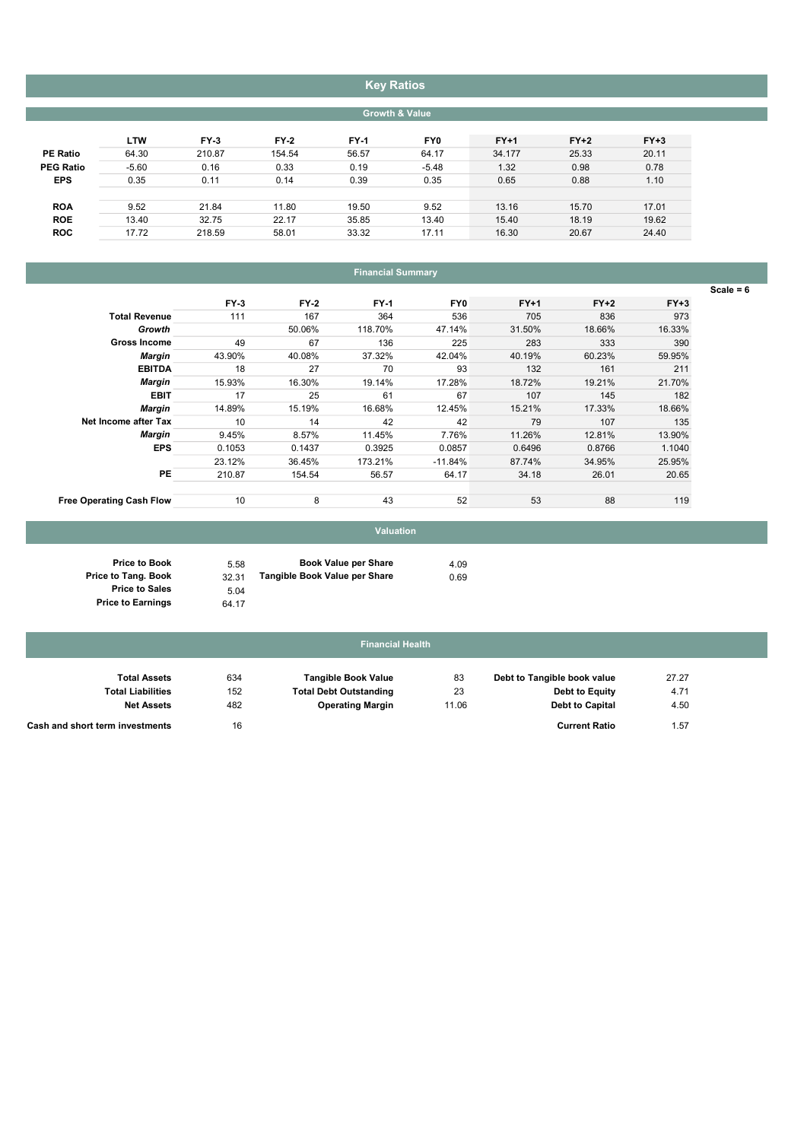# Key Ratios

| <b>Growth &amp; Value</b> |  |  |
|---------------------------|--|--|
|---------------------------|--|--|

|                  | <b>LTW</b> | $FY-3$ | $FY-2$ | <b>FY-1</b> | FY0     | $FY+1$ | $FY+2$ | $FY+3$ |
|------------------|------------|--------|--------|-------------|---------|--------|--------|--------|
| <b>PE Ratio</b>  | 64.30      | 210.87 | 154.54 | 56.57       | 64.17   | 34.177 | 25.33  | 20.11  |
| <b>PEG Ratio</b> | $-5.60$    | 0.16   | 0.33   | 0.19        | $-5.48$ | 1.32   | 0.98   | 0.78   |
| <b>EPS</b>       | 0.35       | 0.11   | 0.14   | 0.39        | 0.35    | 0.65   | 0.88   | 1.10   |
|                  |            |        |        |             |         |        |        |        |
| <b>ROA</b>       | 9.52       | 21.84  | 11.80  | 19.50       | 9.52    | 13.16  | 15.70  | 17.01  |
| <b>ROE</b>       | 13.40      | 32.75  | 22.17  | 35.85       | 13.40   | 15.40  | 18.19  | 19.62  |
| <b>ROC</b>       | 17.72      | 218.59 | 58.01  | 33.32       | 17.11   | 16.30  | 20.67  | 24.40  |

# Financial Summary

 $\overline{\text{Scale} = 6}$ 

|                                 | $FY-3$ | $FY-2$ | <b>FY-1</b> | FY0       | $FY+1$ | $FY+2$ | $FY+3$ |
|---------------------------------|--------|--------|-------------|-----------|--------|--------|--------|
| <b>Total Revenue</b>            | 111    | 167    | 364         | 536       | 705    | 836    | 973    |
| Growth                          |        | 50.06% | 118.70%     | 47.14%    | 31.50% | 18.66% | 16.33% |
| <b>Gross Income</b>             | 49     | 67     | 136         | 225       | 283    | 333    | 390    |
| <b>Margin</b>                   | 43.90% | 40.08% | 37.32%      | 42.04%    | 40.19% | 60.23% | 59.95% |
| <b>EBITDA</b>                   | 18     | 27     | 70          | 93        | 132    | 161    | 211    |
| <b>Margin</b>                   | 15.93% | 16.30% | 19.14%      | 17.28%    | 18.72% | 19.21% | 21.70% |
| <b>EBIT</b>                     | 17     | 25     | 61          | 67        | 107    | 145    | 182    |
| Margin                          | 14.89% | 15.19% | 16.68%      | 12.45%    | 15.21% | 17.33% | 18.66% |
| Net Income after Tax            | 10     | 14     | 42          | 42        | 79     | 107    | 135    |
| <b>Margin</b>                   | 9.45%  | 8.57%  | 11.45%      | 7.76%     | 11.26% | 12.81% | 13.90% |
| <b>EPS</b>                      | 0.1053 | 0.1437 | 0.3925      | 0.0857    | 0.6496 | 0.8766 | 1.1040 |
|                                 | 23.12% | 36.45% | 173.21%     | $-11.84%$ | 87.74% | 34.95% | 25.95% |
| <b>PE</b>                       | 210.87 | 154.54 | 56.57       | 64.17     | 34.18  | 26.01  | 20.65  |
| <b>Free Operating Cash Flow</b> | 10     | 8      | 43          | 52        | 53     | 88     | 119    |

# Valuation

| 5.58  | <b>Book Value per Share</b>   | 4.09 |
|-------|-------------------------------|------|
| 32.31 | Tangible Book Value per Share | 0.69 |
| 5.04  |                               |      |

64.17

Price to Book Price to Tang. Book Price to Sales Price to Earnings

## Financial Health

| <b>Total Assets</b>             | 634 | <b>Tangible Book Value</b>    | 83    | Debt to Tangible book value | 27.27 |
|---------------------------------|-----|-------------------------------|-------|-----------------------------|-------|
| <b>Total Liabilities</b>        | 152 | <b>Total Debt Outstanding</b> | 23    | Debt to Equity              | 4.71  |
| <b>Net Assets</b>               | 482 | <b>Operating Margin</b>       | 11.06 | <b>Debt to Capital</b>      | 4.50  |
| Cash and short term investments | 16  |                               |       | <b>Current Ratio</b>        | 57.،  |